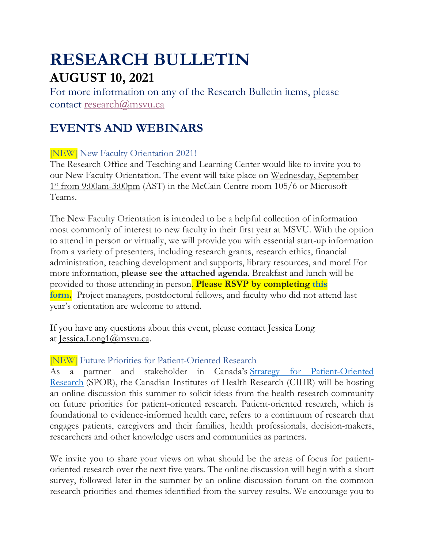# **RESEARCH BULLETIN AUGUST 10, 2021**

For more information on any of the Research Bulletin items, please contact [research@msvu.ca](mailto:research@msvu.ca)

# **EVENTS AND WEBINARS**

[NEW] New Faculty Orientation 2021!

The Research Office and Teaching and Learning Center would like to invite you to our New Faculty Orientation. The event will take place on Wednesday, September 1<sup>st</sup> from 9:00am-3:00pm (AST) in the McCain Centre room 105/6 or Microsoft Teams.

The New Faculty Orientation is intended to be a helpful collection of information most commonly of interest to new faculty in their first year at MSVU. With the option to attend in person or virtually, we will provide you with essential start-up information from a variety of presenters, including research grants, research ethics, financial administration, teaching development and supports, library resources, and more! For more information, **please see the attached agenda**. Breakfast and lunch will be provided to those attending in person. **Please RSVP by completing [this](https://forms.office.com/r/A8a5Utvbg6) [form.](https://forms.office.com/r/A8a5Utvbg6)** Project managers, postdoctoral fellows, and faculty who did not attend last year's orientation are welcome to attend.

If you have any questions about this event, please contact Jessica Long at [Jessica.Long1@msvu.ca.](mailto:Jessica.Long1@msvu.ca)

## [NEW] Future Priorities for Patient-Oriented Research

As a partner and stakeholder in Canada's Strategy for [Patient-Oriented](https://cihr-irsc.gc.ca/e/41204.html) [Research](https://cihr-irsc.gc.ca/e/41204.html) (SPOR), the Canadian Institutes of Health Research (CIHR) will be hosting an online discussion this summer to solicit ideas from the health research community on future priorities for patient-oriented research. Patient-oriented research, which is foundational to evidence-informed health care, refers to a continuum of research that engages patients, caregivers and their families, health professionals, decision-makers, researchers and other knowledge users and communities as partners.

We invite you to share your views on what should be the areas of focus for patientoriented research over the next five years. The online discussion will begin with a short survey, followed later in the summer by an online discussion forum on the common research priorities and themes identified from the survey results. We encourage you to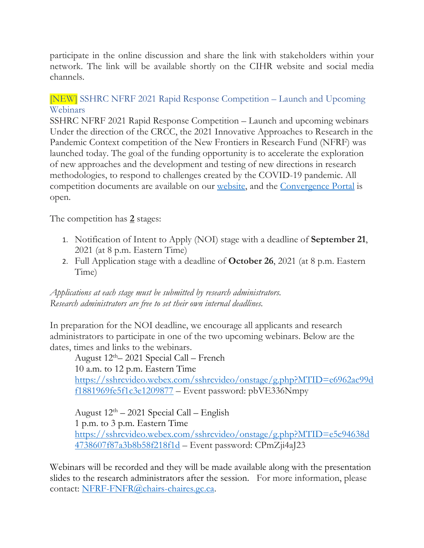participate in the online discussion and share the link with stakeholders within your network. The link will be available shortly on the CIHR website and social media channels.

#### [NEW] SSHRC NFRF 2021 Rapid Response Competition – Launch and Upcoming Webinars

SSHRC NFRF 2021 Rapid Response Competition – Launch and upcoming webinars Under the direction of the CRCC, the 2021 Innovative Approaches to Research in the Pandemic Context competition of the New Frontiers in Research Fund (NFRF) was launched today. The goal of the funding opportunity is to accelerate the exploration of new approaches and the development and testing of new directions in research methodologies, to respond to challenges created by the COVID-19 pandemic. All competition documents are available on our [website,](https://www.sshrc-crsh.gc.ca/funding-financement/nfrf-fnfr/special/special-eng.aspx) and the [Convergence](https://www.convergence.gc.ca/) Portal is open.

The competition has **2** stages:

- 1. Notification of Intent to Apply (NOI) stage with a deadline of **September 21**, 2021 (at 8 p.m. Eastern Time)
- 2. Full Application stage with a deadline of **October 26**, 2021 (at 8 p.m. Eastern Time)

*Applications at each stage must be submitted by research administrators. Research administrators are free to set their own internal deadlines.*

In preparation for the NOI deadline, we encourage all applicants and research administrators to participate in one of the two upcoming webinars. Below are the dates, times and links to the webinars.

August  $12<sup>th</sup> - 2021$  Special Call – French 10 a.m. to 12 p.m. Eastern Time [https://sshrcvideo.webex.com/sshrcvideo/onstage/g.php?MTID=e6962ac99d](https://sshrcvideo.webex.com/sshrcvideo/onstage/g.php?MTID=e6962ac99df1881969fe5f1c3e1209877) [f1881969fe5f1c3e1209877](https://sshrcvideo.webex.com/sshrcvideo/onstage/g.php?MTID=e6962ac99df1881969fe5f1c3e1209877) – Event password: pbVE336Nmpy

August  $12<sup>th</sup> - 2021$  Special Call – English 1 p.m. to 3 p.m. Eastern Time [https://sshrcvideo.webex.com/sshrcvideo/onstage/g.php?MTID=e5c94638d](https://sshrcvideo.webex.com/sshrcvideo/onstage/g.php?MTID=e5c94638d4738607f87a3b8b58f218f1d) [4738607f87a3b8b58f218f1d](https://sshrcvideo.webex.com/sshrcvideo/onstage/g.php?MTID=e5c94638d4738607f87a3b8b58f218f1d) – Event password: CPmZji4aJ23

Webinars will be recorded and they will be made available along with the presentation slides to the research administrators after the session. For more information, please contact: [NFRF-FNFR@chairs-chaires.gc.ca.](http://enterprise/enterprisedav/nodes/67543576/NFRF-FNFR%40chairs-chaires.gc.ca)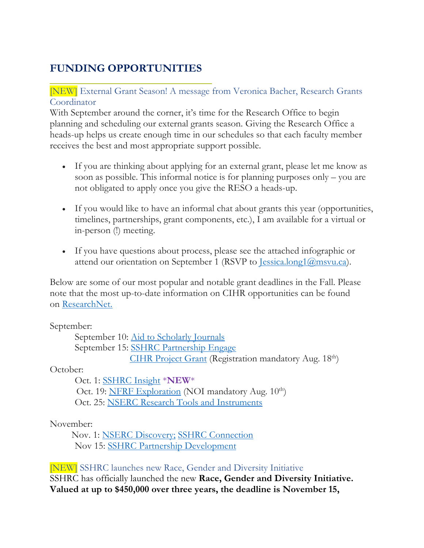# **FUNDING OPPORTUNITIES**

#### [NEW] External Grant Season! A message from Veronica Bacher, Research Grants Coordinator

With September around the corner, it's time for the Research Office to begin planning and scheduling our external grants season. Giving the Research Office a heads-up helps us create enough time in our schedules so that each faculty member receives the best and most appropriate support possible.

- If you are thinking about applying for an external grant, please let me know as soon as possible. This informal notice is for planning purposes only – you are not obligated to apply once you give the RESO a heads-up.
- If you would like to have an informal chat about grants this year (opportunities, timelines, partnerships, grant components, etc.), I am available for a virtual or in-person (!) meeting.
- If you have questions about process, please see the attached infographic or attend our orientation on September 1 (RSVP to <u>Jessica.long1@msvu.ca</u>).

Below are some of our most popular and notable grant deadlines in the Fall. Please note that the most up-to-date information on CIHR opportunities can be found on [ResearchNet.](https://researchnet-recherchenet.ca/rnr16/LoginServlet?language=E)

September:

September 10: Aid to [Scholarly](https://www.sshrc-crsh.gc.ca/funding-financement/programs-programmes/scholarly_journals-revues_savantes-eng.aspx) Journals September 15: SSHRC [Partnership](https://www.sshrc-crsh.gc.ca/funding-financement/programs-programmes/partnership_engage_grants-subventions_d_engagement_partenarial-eng.aspx) Engage CIHR [Project](https://www.researchnet-recherchenet.ca/rnr16/vwOpprtntyDtls.do?progCd=11131&language=E&org=CIHR) Grant (Registration mandatory Aug. 18<sup>th</sup>)

October:

Oct. 1: [SSHRC](https://www.sshrc-crsh.gc.ca/funding-financement/programs-programmes/insight_grants-subventions_savoir-eng.aspx) Insight \***NEW**\* Oct. 19: NFRF [Exploration](https://www.sshrc-crsh.gc.ca/funding-financement/nfrf-fnfr/exploration/2021/competition-concours-eng.aspx) (NOI mandatory Aug. 10<sup>th</sup>) Oct. 25: NSERC Research Tools and [Instruments](https://www.nserc-crsng.gc.ca/Professors-Professeurs/RTII-OIRI/RTI-OIR_eng.asp)

#### November:

 Nov. 1: NSERC [Discovery;](https://www.nserc-crsng.gc.ca/Professors-Professeurs/Grants-Subs/DGIGP-PSIGP_eng.asp) SSHRC [Connection](https://www.sshrc-crsh.gc.ca/funding-financement/programs-programmes/connection_grants-subventions_connexion-eng.aspx) Nov 15: SSHRC Partnership [Development](https://www.sshrc-crsh.gc.ca/funding-financement/programs-programmes/partnership_development_grants-subventions_partenariat_developpement-eng.aspx)

## [NEW] SSHRC launches new Race, Gender and Diversity Initiative

SSHRC has officially launched the new **Race, Gender and Diversity Initiative. Valued at up to \$450,000 over three years, the deadline is November 15,**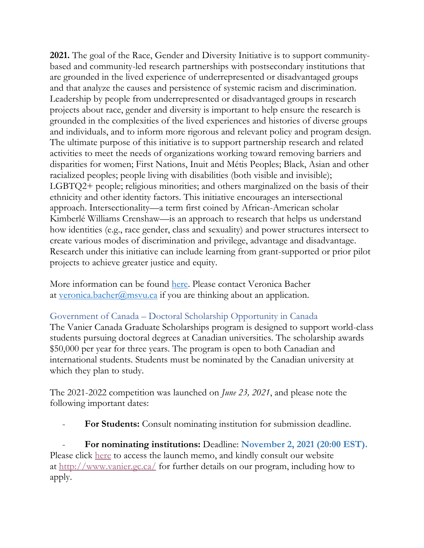**2021.** The goal of the Race, Gender and Diversity Initiative is to support communitybased and community-led research partnerships with postsecondary institutions that are grounded in the lived experience of underrepresented or disadvantaged groups and that analyze the causes and persistence of systemic racism and discrimination. Leadership by people from underrepresented or disadvantaged groups in research projects about race, gender and diversity is important to help ensure the research is grounded in the complexities of the lived experiences and histories of diverse groups and individuals, and to inform more rigorous and relevant policy and program design. The ultimate purpose of this initiative is to support partnership research and related activities to meet the needs of organizations working toward removing barriers and disparities for women; First Nations, Inuit and Métis Peoples; Black, Asian and other racialized peoples; people living with disabilities (both visible and invisible); LGBTQ2+ people; religious minorities; and others marginalized on the basis of their ethnicity and other identity factors. This initiative encourages an intersectional approach. Intersectionality—a term first coined by African-American scholar Kimberlé Williams Crenshaw—is an approach to research that helps us understand how identities (e.g., race gender, class and sexuality) and power structures intersect to create various modes of discrimination and privilege, advantage and disadvantage. Research under this initiative can include learning from grant-supported or prior pilot projects to achieve greater justice and equity.

More information can be found [here.](https://www.sshrc-crsh.gc.ca/funding-financement/programs-programmes/rgdi-irgd-eng.aspx) Please contact Veronica Bacher at [veronica.bacher@msvu.ca](mailto:veronica.bacher@msvu.ca) if you are thinking about an application.

#### Government of Canada – Doctoral Scholarship Opportunity in Canada

The Vanier Canada Graduate Scholarships program is designed to support world-class students pursuing doctoral degrees at Canadian universities. The scholarship awards \$50,000 per year for three years. The program is open to both Canadian and international students. Students must be nominated by the Canadian university at which they plan to study.

The 2021-2022 competition was launched on *June 23, 2021*, and please note the following important dates:

- **For Students:** Consult nominating institution for submission deadline.

- **For nominating institutions:** Deadline: **November 2, 2021 (20:00 EST).** Please click [here](https://vanier.gc.ca/en/news-nouv_2021-22.html) to access the launch memo, and kindly consult our website at <http://www.vanier.gc.ca/> for further details on our program, including how to apply.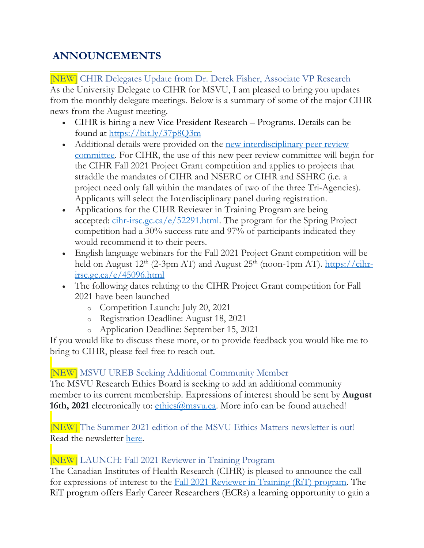# **ANNOUNCEMENTS**

[NEW] CHIR Delegates Update from Dr. Derek Fisher, Associate VP Research As the University Delegate to CIHR for MSVU, I am pleased to bring you updates from the monthly delegate meetings. Below is a summary of some of the major CIHR news from the August meeting.

- CIHR is hiring a new Vice President Research Programs. Details can be found at <https://bit.ly/37p8Q3m>
- Additional details were provided on the new [interdisciplinary](https://cihr-irsc.gc.ca/e/52470.html) peer review [committee.](https://cihr-irsc.gc.ca/e/52470.html) For CIHR, the use of this new peer review committee will begin for the CIHR Fall 2021 Project Grant competition and applies to projects that straddle the mandates of CIHR and NSERC or CIHR and SSHRC (i.e. a project need only fall within the mandates of two of the three Tri-Agencies). Applicants will select the Interdisciplinary panel during registration.
- Applications for the CIHR Reviewer in Training Program are being accepted:  $\frac{\text{chr}-\text{irsc.gc.ca}/e/52291.\text{html}}{\text{cm}}$ . The program for the Spring Project competition had a 30% success rate and 97% of participants indicated they would recommend it to their peers.
- English language webinars for the Fall 2021 Project Grant competition will be held on August  $12<sup>th</sup>$  (2-3pm AT) and August  $25<sup>th</sup>$  (noon-1pm AT). [https://cihr](https://cihr-irsc.gc.ca/e/45096.html)[irsc.gc.ca/e/45096.html](https://cihr-irsc.gc.ca/e/45096.html)
- The following dates relating to the CIHR Project Grant competition for Fall 2021 have been launched
	- o Competition Launch: July 20, 2021
	- o Registration Deadline: August 18, 2021
	- o Application Deadline: September 15, 2021

If you would like to discuss these more, or to provide feedback you would like me to bring to CIHR, please feel free to reach out.

# [NEW] MSVU UREB Seeking Additional Community Member

The MSVU Research Ethics Board is seeking to add an additional community member to its current membership. Expressions of interest should be sent by **August 16th, 2021** electronically to: ethics *a*msvu.ca. More info can be found attached!

[NEW] The Summer 2021 edition of the MSVU Ethics Matters newsletter is out! Read the newsletter [here.](https://www.msvu.ca/research-at-the-mount/research-ethics/research-ethics-communications/)

## [NEW] LAUNCH: Fall 2021 Reviewer in Training Program

The Canadian Institutes of Health Research (CIHR) is pleased to announce the call for expressions of interest to the Fall 2021 [Reviewer](https://cihr-irsc.gc.ca/e/52291.html) in Training (RiT) program. The RiT program offers Early Career Researchers (ECRs) a learning opportunity to gain a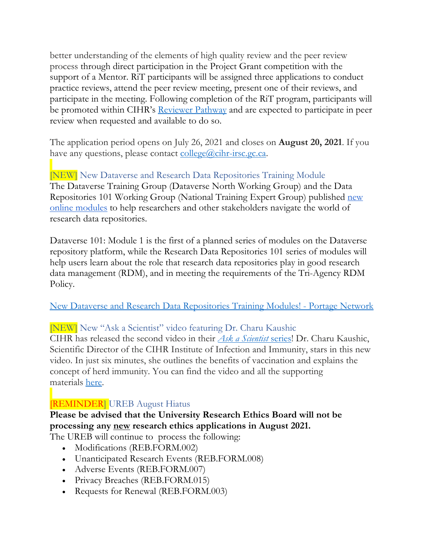better understanding of the elements of high quality review and the peer review process through direct participation in the Project Grant competition with the support of a Mentor. RiT participants will be assigned three applications to conduct practice reviews, attend the peer review meeting, present one of their reviews, and participate in the meeting. Following completion of the RiT program, participants will be promoted within CIHR's **[Reviewer](https://cihr-irsc.gc.ca/e/51666.html) Pathway** and are expected to participate in peer review when requested and available to do so.

The application period opens on July 26, 2021 and closes on **August 20, 2021**. If you have any questions, please contact  $\frac{\text{collected}}{\text{cohr-irsc.gc.ca.}}$ 

[NEW] New Dataverse and Research Data Repositories Training Module The Dataverse Training Group (Dataverse North Working Group) and the Data Repositories 101 Working Group (National Training Expert Group) published [new](https://learn.scholarsportal.info/modules/portage/) online [modules](https://learn.scholarsportal.info/modules/portage/) to help researchers and other stakeholders navigate the world of research data repositories.

Dataverse 101: Module 1 is the first of a planned series of modules on the Dataverse repository platform, while the Research Data Repositories 101 series of modules will help users learn about the role that research data repositories play in good research data management (RDM), and in meeting the requirements of the Tri-Agency RDM Policy.

New Dataverse and Research Data [Repositories](https://portagenetwork.ca/news/new-dataverse-and-research-data-repositories-training-modules/) Training Modules! - Portage Network

#### [NEW] New "Ask a Scientist" video featuring Dr. Charu Kaushic

CIHR has released the second video in their *Ask a [Scientist](https://cihr-irsc.gc.ca/e/52596.html)* series! Dr. Charu Kaushic, Scientific Director of the CIHR Institute of Infection and Immunity, stars in this new video. In just six minutes, she outlines the benefits of vaccination and explains the concept of herd immunity. You can find the video and all the supporting materials [here.](https://cihr-irsc.gc.ca/e/52600.html)

## [REMINDER] UREB August Hiatus

## **Please be advised that the University Research Ethics Board will not be processing any new research ethics applications in August 2021.**

The UREB will continue to process the following:

- Modifications (REB.FORM.002)
- Unanticipated Research Events (REB.FORM.008)
- Adverse Events (REB.FORM.007)
- Privacy Breaches (REB.FORM.015)
- Requests for Renewal (REB.FORM.003)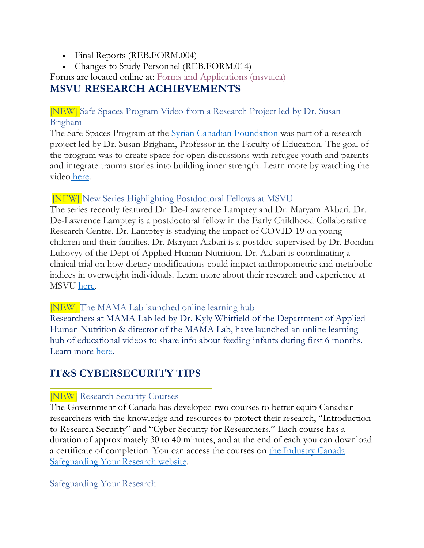- Final Reports (REB.FORM.004)
- Changes to Study Personnel (REB.FORM.014)

Forms are located online at: Forms and [Applications](https://www.msvu.ca/research-at-the-mount/research-ethics/forms-and-applications/) (msvu.ca)

# **MSVU RESEARCH ACHIEVEMENTS**

[NEW] Safe Spaces Program Video from a Research Project led by Dr. Susan Brigham

The Safe Spaces Program at the Syrian Canadian [Foundation](https://www.facebook.com/SyrianCanadianFoundation/?__cft__%5b0%5d=AZVAMXZubd8YN1Xz9iyBA2fvylFcFzOS5tv7DBFvzXQJfqc_5phskSOzWbKg0TBWIaw-ADfk6wYuRqxrE_5roi72feYYsnbf7yc3z1dEZKEFDiyFv7c5bxhnvEZj3TpGyNU3VcgjrSS20FDFPSOoDUhGxBkeD9yMw6jriEhfJH5Eo0t_C5mudaC1nK8yJDmlwsY&__tn__=kK-R) was part of a research project led by Dr. Susan Brigham, Professor in the Faculty of Education. The goal of the program was to create space for open discussions with refugee youth and parents and integrate trauma stories into building inner strength. Learn more by watching the video [here.](https://www.youtube.com/watch?v=LQf1AyQ1WLE)

## [NEW] New Series Highlighting Postdoctoral Fellows at MSVU

The series recently featured Dr. De-Lawrence Lamptey and Dr. Maryam Akbari. Dr. De-Lawrence Lamptey is a postdoctoral fellow in the Early Childhood Collaborative Research Centre. Dr. Lamptey is studying the impact of [COVID-19](https://twitter.com/hashtag/COVID19?src=hashtag_click) on young children and their families. Dr. Maryam Akbari is a postdoc supervised by Dr. Bohdan Luhovyy of the Dept of Applied Human Nutrition. Dr. Akbari is coordinating a clinical trial on how dietary modifications could impact anthropometric and metabolic indices in overweight individuals. Learn more about their research and experience at MSVU [here.](https://bit.ly/3yZ48VO)

#### [NEW] The MAMA Lab launched online learning hub

Researchers at MAMA Lab led by Dr. Kyly Whitfield of the Department of Applied Human Nutrition & director of the MAMA Lab, have launched an online learning hub of educational videos to share info about feeding infants during first 6 months. Learn more [here.](https://msvu.ca/msvus-mama-lab-launches-online-infant-feeding-learning-hub/)

# **IT&S CYBERSECURITY TIPS**

## [NEW] Research Security Courses

The Government of Canada has developed two courses to better equip Canadian researchers with the knowledge and resources to protect their research, "Introduction to Research Security" and "Cyber Security for Researchers." Each course has a duration of approximately 30 to 40 minutes, and at the end of each you can download a certificate of completion. You can access the courses on the [Industry](https://www.ic.gc.ca/eic/site/063.nsf/eng/h_98282.html) Canada [Safeguarding](https://www.ic.gc.ca/eic/site/063.nsf/eng/h_98282.html) Your Research website.

#### Safeguarding Your Research